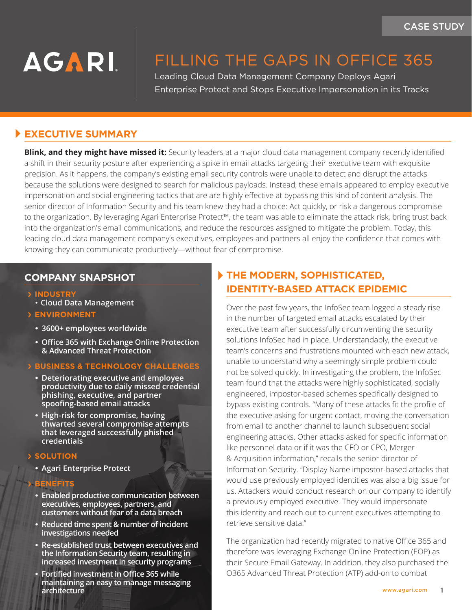# **AGARI**

## FILLING THE GAPS IN OFFICE 365

Leading Cloud Data Management Company Deploys Agari Enterprise Protect and Stops Executive Impersonation in its Tracks

## **EXECUTIVE SUMMARY**

**Blink, and they might have missed it:** Security leaders at a major cloud data management company recently identified a shift in their security posture after experiencing a spike in email attacks targeting their executive team with exquisite precision. As it happens, the company's existing email security controls were unable to detect and disrupt the attacks because the solutions were designed to search for malicious payloads. Instead, these emails appeared to employ executive impersonation and social engineering tactics that are are highly effective at bypassing this kind of content analysis. The senior director of Information Security and his team knew they had a choice: Act quickly, or risk a dangerous compromise to the organization. By leveraging Agari Enterprise Protect™, the team was able to eliminate the attack risk, bring trust back into the organization's email communications, and reduce the resources assigned to mitigate the problem. Today, this leading cloud data management company's executives, employees and partners all enjoy the confidence that comes with knowing they can communicate productively—without fear of compromise.

#### **COMPANY SNAPSHOT**

- › **INDUSTRY**
- **Cloud Data Management**
- › **ENVIRONMENT**
	- **• 3600+ employees worldwide**
	- **• Office 365 with Exchange Online Protection & Advanced Threat Protection**
- › **BUSINESS & TECHNOLOGY CHALLENGES**
	- **• Deteriorating executive and employee productivity due to daily missed credential phishing, executive, and partner spoofing-based email attacks**
	- **• High-risk for compromise, having thwarted several compromise attempts that leveraged successfully phished credentials**
- › **SOLUTION**
	- **• Agari Enterprise Protect**

#### **BENEFITS**

- **• Enabled productive communication between executives, employees, partners, and customers without fear of a data breach**
- **• Reduced time spent & number of incident investigations needed**
- **• Re-established trust between executives and the Information Security team, resulting in increased investment in security programs**
- **• Fortified investment in Office 365 while maintaining an easy to manage messaging architecture**

## **THE MODERN, SOPHISTICATED, IDENTITY-BASED ATTACK EPIDEMIC**

Over the past few years, the InfoSec team logged a steady rise in the number of targeted email attacks escalated by their executive team after successfully circumventing the security solutions InfoSec had in place. Understandably, the executive team's concerns and frustrations mounted with each new attack, unable to understand why a seemingly simple problem could not be solved quickly. In investigating the problem, the InfoSec team found that the attacks were highly sophisticated, socially engineered, impostor-based schemes specifically designed to bypass existing controls. "Many of these attacks fit the profile of the executive asking for urgent contact, moving the conversation from email to another channel to launch subsequent social engineering attacks. Other attacks asked for specific information like personnel data or if it was the CFO or CPO, Merger & Acquisition information," recalls the senior director of Information Security. "Display Name impostor-based attacks that would use previously employed identities was also a big issue for us. Attackers would conduct research on our company to identify a previously employed executive. They would impersonate this identity and reach out to current executives attempting to retrieve sensitive data."

The organization had recently migrated to native Office 365 and therefore was leveraging Exchange Online Protection (EOP) as their Secure Email Gateway. In addition, they also purchased the O365 Advanced Threat Protection (ATP) add-on to combat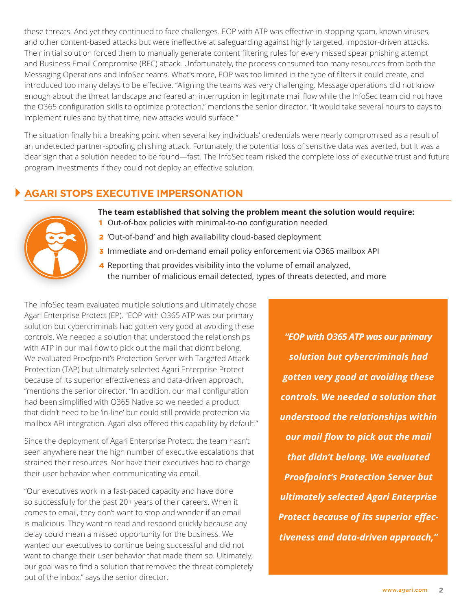these threats. And yet they continued to face challenges. EOP with ATP was effective in stopping spam, known viruses, and other content-based attacks but were ineffective at safeguarding against highly targeted, impostor-driven attacks. Their initial solution forced them to manually generate content filtering rules for every missed spear phishing attempt and Business Email Compromise (BEC) attack. Unfortunately, the process consumed too many resources from both the Messaging Operations and InfoSec teams. What's more, EOP was too limited in the type of filters it could create, and introduced too many delays to be effective. "Aligning the teams was very challenging. Message operations did not know enough about the threat landscape and feared an interruption in legitimate mail flow while the InfoSec team did not have the O365 configuration skills to optimize protection," mentions the senior director. "It would take several hours to days to implement rules and by that time, new attacks would surface."

The situation finally hit a breaking point when several key individuals' credentials were nearly compromised as a result of an undetected partner-spoofing phishing attack. Fortunately, the potential loss of sensitive data was averted, but it was a clear sign that a solution needed to be found—fast. The InfoSec team risked the complete loss of executive trust and future program investments if they could not deploy an effective solution.

## **AGARI STOPS EXECUTIVE IMPERSONATION**



- **The team established that solving the problem meant the solution would require:**
- 1 Out-of-box policies with minimal-to-no configuration needed
- 2 'Out-of-band' and high availability cloud-based deployment
- **3** Immediate and on-demand email policy enforcement via O365 mailbox API
- 4 Reporting that provides visibility into the volume of email analyzed, the number of malicious email detected, types of threats detected, and more

The InfoSec team evaluated multiple solutions and ultimately chose Agari Enterprise Protect (EP). "EOP with O365 ATP was our primary solution but cybercriminals had gotten very good at avoiding these controls. We needed a solution that understood the relationships with ATP in our mail flow to pick out the mail that didn't belong. We evaluated Proofpoint's Protection Server with Targeted Attack Protection (TAP) but ultimately selected Agari Enterprise Protect because of its superior effectiveness and data-driven approach, "mentions the senior director. "In addition, our mail configuration had been simplified with O365 Native so we needed a product that didn't need to be 'in-line' but could still provide protection via mailbox API integration. Agari also offered this capability by default."

Since the deployment of Agari Enterprise Protect, the team hasn't seen anywhere near the high number of executive escalations that strained their resources. Nor have their executives had to change their user behavior when communicating via email.

"Our executives work in a fast-paced capacity and have done so successfully for the past 20+ years of their careers. When it comes to email, they don't want to stop and wonder if an email is malicious. They want to read and respond quickly because any delay could mean a missed opportunity for the business. We wanted our executives to continue being successful and did not want to change their user behavior that made them so. Ultimately, our goal was to find a solution that removed the threat completely out of the inbox," says the senior director.

*"EOP with O365 ATP was our primary solution but cybercriminals had gotten very good at avoiding these controls. We needed a solution that understood the relationships within our mail flow to pick out the mail that didn't belong. We evaluated Proofpoint's Protection Server but ultimately selected Agari Enterprise Protect because of its superior effectiveness and data-driven approach,"*